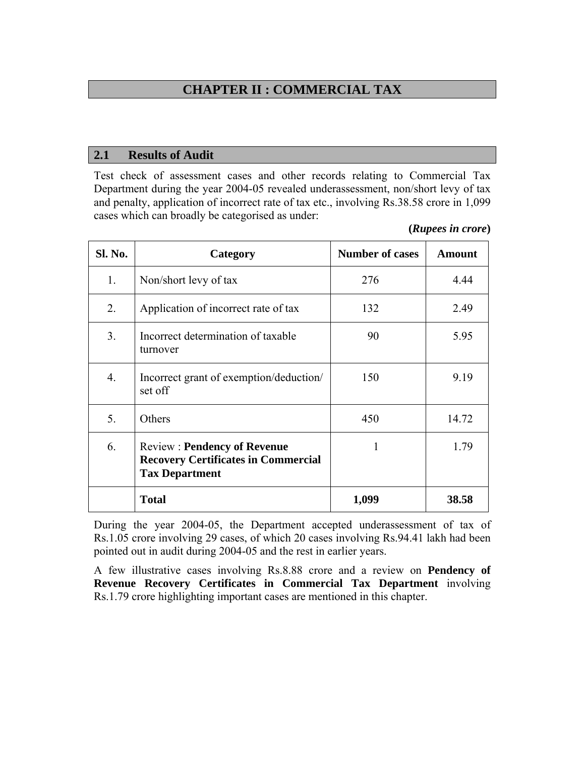# **CHAPTER II : COMMERCIAL TAX**

#### **2.1 Results of Audit**

Test check of assessment cases and other records relating to Commercial Tax Department during the year 2004-05 revealed underassessment, non/short levy of tax and penalty, application of incorrect rate of tax etc., involving Rs.38.58 crore in 1,099 cases which can broadly be categorised as under:

**(***Rupees in crore***)**

| <b>Sl. No.</b>   | Category                                                                                                  | <b>Number of cases</b> | <b>Amount</b> |
|------------------|-----------------------------------------------------------------------------------------------------------|------------------------|---------------|
| 1.               | Non/short levy of tax                                                                                     | 276                    | 4.44          |
| 2.               | Application of incorrect rate of tax                                                                      | 132                    | 2.49          |
| 3.               | Incorrect determination of taxable<br>turnover                                                            | 90                     | 5.95          |
| $\overline{4}$ . | Incorrect grant of exemption/deduction/<br>set off                                                        | 150                    | 9.19          |
| 5.               | Others                                                                                                    | 450                    | 14.72         |
| 6.               | <b>Review: Pendency of Revenue</b><br><b>Recovery Certificates in Commercial</b><br><b>Tax Department</b> |                        | 1.79          |
|                  | <b>Total</b>                                                                                              | 1,099                  | 38.58         |

During the year 2004-05, the Department accepted underassessment of tax of Rs.1.05 crore involving 29 cases, of which 20 cases involving Rs.94.41 lakh had been pointed out in audit during 2004-05 and the rest in earlier years.

A few illustrative cases involving Rs.8.88 crore and a review on **Pendency of Revenue Recovery Certificates in Commercial Tax Department** involving Rs.1.79 crore highlighting important cases are mentioned in this chapter.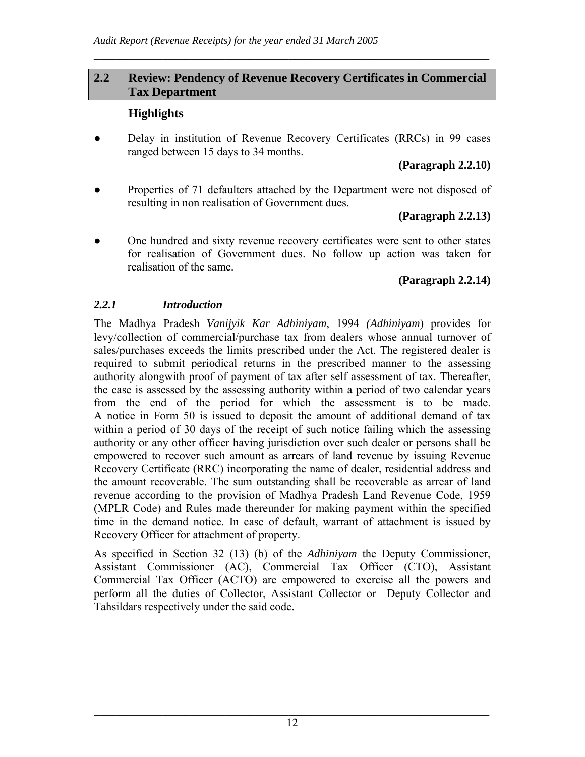#### **2.2 Review: Pendency of Revenue Recovery Certificates in Commercial Tax Department**

 $\mathcal{L}_\mathcal{L} = \mathcal{L}_\mathcal{L} = \mathcal{L}_\mathcal{L} = \mathcal{L}_\mathcal{L} = \mathcal{L}_\mathcal{L} = \mathcal{L}_\mathcal{L} = \mathcal{L}_\mathcal{L} = \mathcal{L}_\mathcal{L} = \mathcal{L}_\mathcal{L} = \mathcal{L}_\mathcal{L} = \mathcal{L}_\mathcal{L} = \mathcal{L}_\mathcal{L} = \mathcal{L}_\mathcal{L} = \mathcal{L}_\mathcal{L} = \mathcal{L}_\mathcal{L} = \mathcal{L}_\mathcal{L} = \mathcal{L}_\mathcal{L}$ 

#### **Highlights**

• Delay in institution of Revenue Recovery Certificates (RRCs) in 99 cases ranged between 15 days to 34 months.

#### **(Paragraph 2.2.10)**

• Properties of 71 defaulters attached by the Department were not disposed of resulting in non realisation of Government dues.

#### **(Paragraph 2.2.13)**

One hundred and sixty revenue recovery certificates were sent to other states for realisation of Government dues. No follow up action was taken for realisation of the same.

#### **(Paragraph 2.2.14)**

#### *2.2.1 Introduction*

The Madhya Pradesh *Vanijyik Kar Adhiniyam*, 1994 *(Adhiniyam*) provides for levy/collection of commercial/purchase tax from dealers whose annual turnover of sales/purchases exceeds the limits prescribed under the Act. The registered dealer is required to submit periodical returns in the prescribed manner to the assessing authority alongwith proof of payment of tax after self assessment of tax. Thereafter, the case is assessed by the assessing authority within a period of two calendar years from the end of the period for which the assessment is to be made. A notice in Form 50 is issued to deposit the amount of additional demand of tax within a period of 30 days of the receipt of such notice failing which the assessing authority or any other officer having jurisdiction over such dealer or persons shall be empowered to recover such amount as arrears of land revenue by issuing Revenue Recovery Certificate (RRC) incorporating the name of dealer, residential address and the amount recoverable. The sum outstanding shall be recoverable as arrear of land revenue according to the provision of Madhya Pradesh Land Revenue Code, 1959 (MPLR Code) and Rules made thereunder for making payment within the specified time in the demand notice. In case of default, warrant of attachment is issued by Recovery Officer for attachment of property.

As specified in Section 32 (13) (b) of the *Adhiniyam* the Deputy Commissioner, Assistant Commissioner (AC), Commercial Tax Officer (CTO), Assistant Commercial Tax Officer (ACTO) are empowered to exercise all the powers and perform all the duties of Collector, Assistant Collector or Deputy Collector and Tahsildars respectively under the said code.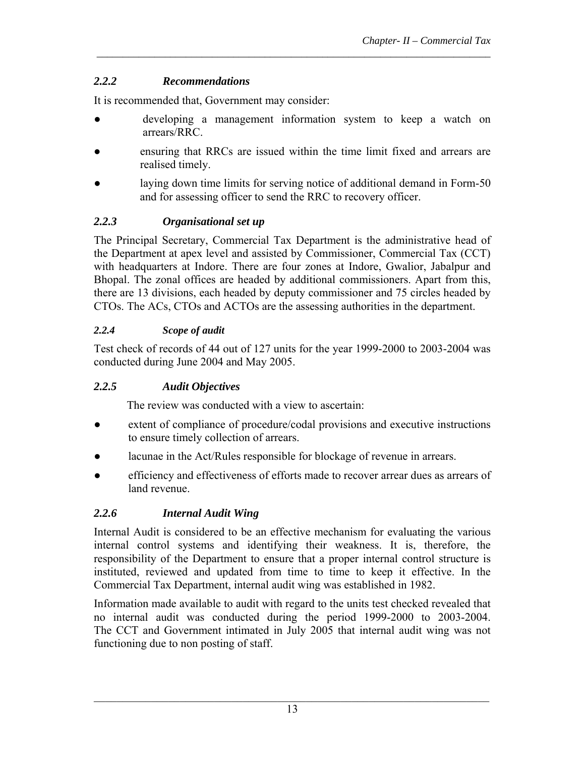## *2.2.2 Recommendations*

It is recommended that, Government may consider:

● developing a management information system to keep a watch on arrears/RRC.

*\_\_\_\_\_\_\_\_\_\_\_\_\_\_\_\_\_\_\_\_\_\_\_\_\_\_\_\_\_\_\_\_\_\_\_\_\_\_\_\_\_\_\_\_\_\_\_\_\_\_\_\_\_\_\_\_\_\_\_\_\_\_\_\_\_\_\_\_\_\_\_\_\_\_\_*

- ensuring that RRCs are issued within the time limit fixed and arrears are realised timely.
- laying down time limits for serving notice of additional demand in Form-50 and for assessing officer to send the RRC to recovery officer.

## *2.2.3 Organisational set up*

The Principal Secretary, Commercial Tax Department is the administrative head of the Department at apex level and assisted by Commissioner, Commercial Tax (CCT) with headquarters at Indore. There are four zones at Indore, Gwalior, Jabalpur and Bhopal. The zonal offices are headed by additional commissioners. Apart from this, there are 13 divisions, each headed by deputy commissioner and 75 circles headed by CTOs. The ACs, CTOs and ACTOs are the assessing authorities in the department.

## *2.2.4 Scope of audit*

Test check of records of 44 out of 127 units for the year 1999-2000 to 2003-2004 was conducted during June 2004 and May 2005.

## *2.2.5 Audit Objectives*

The review was conducted with a view to ascertain:

- extent of compliance of procedure/codal provisions and executive instructions to ensure timely collection of arrears.
- lacunae in the Act/Rules responsible for blockage of revenue in arrears.
- efficiency and effectiveness of efforts made to recover arrear dues as arrears of land revenue.

# *2.2.6 Internal Audit Wing*

Internal Audit is considered to be an effective mechanism for evaluating the various internal control systems and identifying their weakness. It is, therefore, the responsibility of the Department to ensure that a proper internal control structure is instituted, reviewed and updated from time to time to keep it effective. In the Commercial Tax Department, internal audit wing was established in 1982.

Information made available to audit with regard to the units test checked revealed that no internal audit was conducted during the period 1999-2000 to 2003-2004. The CCT and Government intimated in July 2005 that internal audit wing was not functioning due to non posting of staff.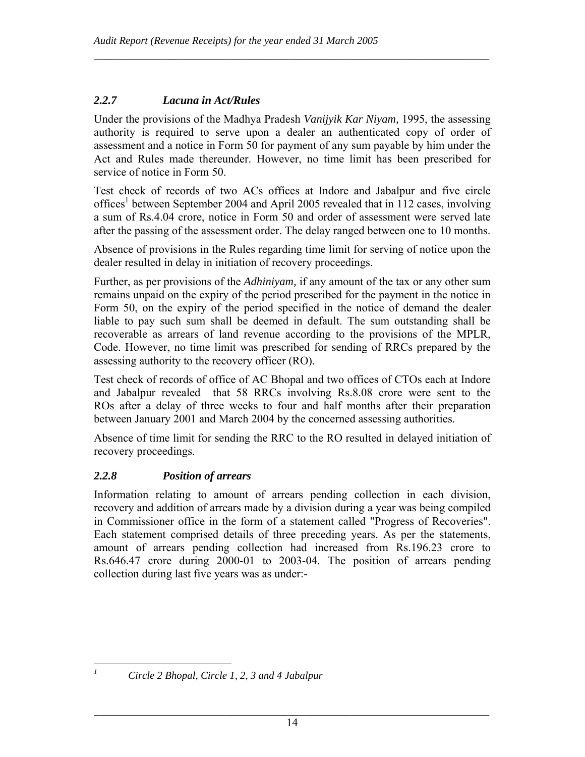#### *2.2.7 Lacuna in Act/Rules*

Under the provisions of the Madhya Pradesh *Vanijyik Kar Niyam,* 1995, the assessing authority is required to serve upon a dealer an authenticated copy of order of assessment and a notice in Form 50 for payment of any sum payable by him under the Act and Rules made thereunder. However, no time limit has been prescribed for service of notice in Form 50.

 $\mathcal{L}_\mathcal{L} = \mathcal{L}_\mathcal{L} = \mathcal{L}_\mathcal{L} = \mathcal{L}_\mathcal{L} = \mathcal{L}_\mathcal{L} = \mathcal{L}_\mathcal{L} = \mathcal{L}_\mathcal{L} = \mathcal{L}_\mathcal{L} = \mathcal{L}_\mathcal{L} = \mathcal{L}_\mathcal{L} = \mathcal{L}_\mathcal{L} = \mathcal{L}_\mathcal{L} = \mathcal{L}_\mathcal{L} = \mathcal{L}_\mathcal{L} = \mathcal{L}_\mathcal{L} = \mathcal{L}_\mathcal{L} = \mathcal{L}_\mathcal{L}$ 

Test check of records of two ACs offices at Indore and Jabalpur and five circle offices<sup>1</sup> between September 2004 and April 2005 revealed that in 112 cases, involving a sum of Rs.4.04 crore, notice in Form 50 and order of assessment were served late after the passing of the assessment order. The delay ranged between one to 10 months.

Absence of provisions in the Rules regarding time limit for serving of notice upon the dealer resulted in delay in initiation of recovery proceedings.

Further, as per provisions of the *Adhiniyam,* if any amount of the tax or any other sum remains unpaid on the expiry of the period prescribed for the payment in the notice in Form 50, on the expiry of the period specified in the notice of demand the dealer liable to pay such sum shall be deemed in default. The sum outstanding shall be recoverable as arrears of land revenue according to the provisions of the MPLR, Code. However, no time limit was prescribed for sending of RRCs prepared by the assessing authority to the recovery officer (RO).

Test check of records of office of AC Bhopal and two offices of CTOs each at Indore and Jabalpur revealed that 58 RRCs involving Rs.8.08 crore were sent to the ROs after a delay of three weeks to four and half months after their preparation between January 2001 and March 2004 by the concerned assessing authorities.

Absence of time limit for sending the RRC to the RO resulted in delayed initiation of recovery proceedings.

## *2.2.8 Position of arrears*

Information relating to amount of arrears pending collection in each division, recovery and addition of arrears made by a division during a year was being compiled in Commissioner office in the form of a statement called "Progress of Recoveries". Each statement comprised details of three preceding years. As per the statements, amount of arrears pending collection had increased from Rs.196.23 crore to Rs.646.47 crore during 2000-01 to 2003-04. The position of arrears pending collection during last five years was as under:-

 $\overline{a}$ *1*

*Circle 2 Bhopal, Circle 1, 2, 3 and 4 Jabalpur*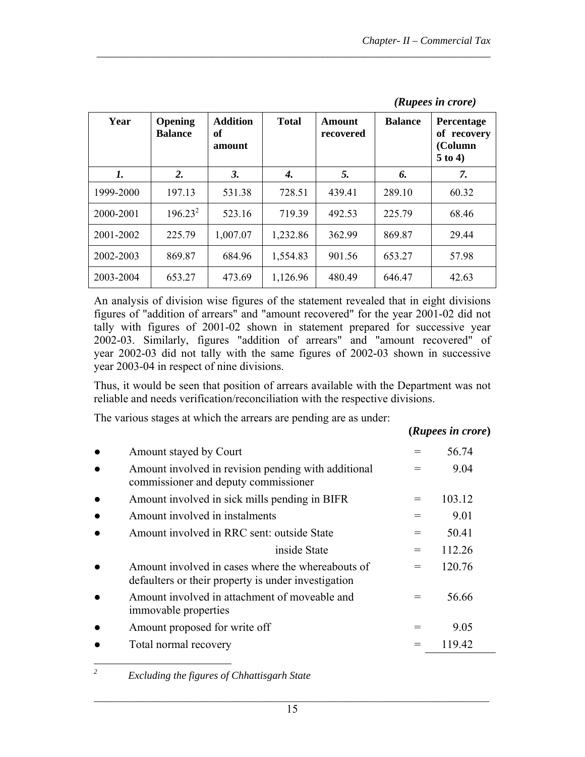| Year      | Opening<br><b>Balance</b> | <b>Addition</b><br>оf<br>amount | <b>Total</b> | Amount<br>recovered | <b>Balance</b> | <b>Percentage</b><br>of recovery<br>(Column<br>$5$ to 4) |
|-----------|---------------------------|---------------------------------|--------------|---------------------|----------------|----------------------------------------------------------|
| 1.        | 2.                        | 3.                              | 4.           | 5.                  | 6.             | 7.                                                       |
| 1999-2000 | 197.13                    | 531.38                          | 728.51       | 439.41              | 289.10         | 60.32                                                    |
| 2000-2001 | $196.23^{2}$              | 523.16                          | 719.39       | 492.53              | 225.79         | 68.46                                                    |
| 2001-2002 | 225.79                    | 1,007.07                        | 1,232.86     | 362.99              | 869.87         | 29.44                                                    |
| 2002-2003 | 869.87                    | 684.96                          | 1,554.83     | 901.56              | 653.27         | 57.98                                                    |
| 2003-2004 | 653.27                    | 473.69                          | 1,126.96     | 480.49              | 646.47         | 42.63                                                    |

*\_\_\_\_\_\_\_\_\_\_\_\_\_\_\_\_\_\_\_\_\_\_\_\_\_\_\_\_\_\_\_\_\_\_\_\_\_\_\_\_\_\_\_\_\_\_\_\_\_\_\_\_\_\_\_\_\_\_\_\_\_\_\_\_\_\_\_\_\_\_\_\_\_\_\_*

#### *(Rupees in crore)*

 $(n \tcdot n)$  **i** 

An analysis of division wise figures of the statement revealed that in eight divisions figures of "addition of arrears" and "amount recovered" for the year 2001-02 did not tally with figures of 2001-02 shown in statement prepared for successive year 2002-03. Similarly, figures "addition of arrears" and "amount recovered" of year 2002-03 did not tally with the same figures of 2002-03 shown in successive year 2003-04 in respect of nine divisions.

Thus, it would be seen that position of arrears available with the Department was not reliable and needs verification/reconciliation with the respective divisions.

The various stages at which the arrears are pending are as under:

|                                                                                                          |     | ( <i>Rupees in crore</i> ) |  |
|----------------------------------------------------------------------------------------------------------|-----|----------------------------|--|
| Amount stayed by Court                                                                                   |     | 56.74                      |  |
| Amount involved in revision pending with additional<br>commissioner and deputy commissioner              |     | 9.04                       |  |
| Amount involved in sick mills pending in BIFR                                                            |     | 103.12                     |  |
| Amount involved in instalments                                                                           |     | 9.01                       |  |
| Amount involved in RRC sent: outside State                                                               | $=$ | 50.41                      |  |
| inside State                                                                                             | $=$ | 112.26                     |  |
| Amount involved in cases where the whereabouts of<br>defaulters or their property is under investigation |     | 120.76                     |  |
| Amount involved in attachment of moveable and<br>immovable properties                                    |     | 56.66                      |  |
| Amount proposed for write off                                                                            |     | 9.05                       |  |
| Total normal recovery                                                                                    |     | 119.42                     |  |

 *Excluding the figures of Chhattisgarh State*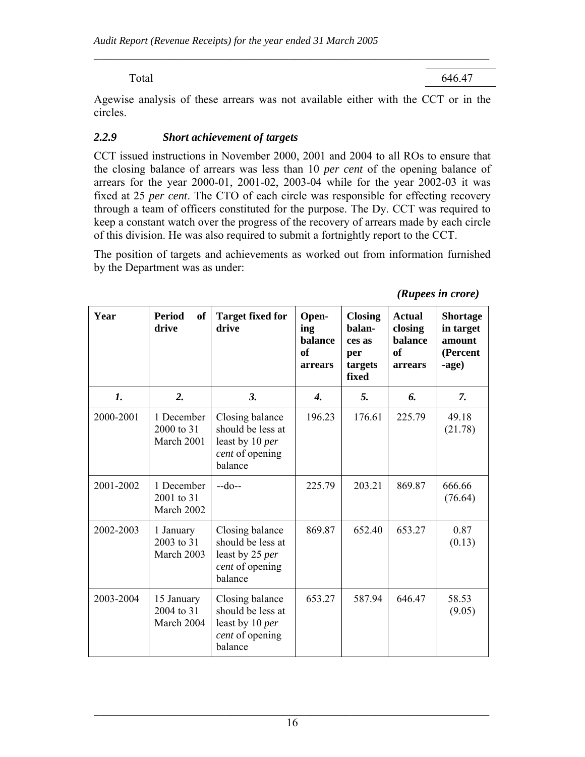Total 646.47

Agewise analysis of these arrears was not available either with the CCT or in the circles.

 $\mathcal{L}_\mathcal{L} = \mathcal{L}_\mathcal{L} = \mathcal{L}_\mathcal{L} = \mathcal{L}_\mathcal{L} = \mathcal{L}_\mathcal{L} = \mathcal{L}_\mathcal{L} = \mathcal{L}_\mathcal{L} = \mathcal{L}_\mathcal{L} = \mathcal{L}_\mathcal{L} = \mathcal{L}_\mathcal{L} = \mathcal{L}_\mathcal{L} = \mathcal{L}_\mathcal{L} = \mathcal{L}_\mathcal{L} = \mathcal{L}_\mathcal{L} = \mathcal{L}_\mathcal{L} = \mathcal{L}_\mathcal{L} = \mathcal{L}_\mathcal{L}$ 

#### *2.2.9 Short achievement of targets*

CCT issued instructions in November 2000, 2001 and 2004 to all ROs to ensure that the closing balance of arrears was less than 10 *per cent* of the opening balance of arrears for the year 2000-01, 2001-02, 2003-04 while for the year 2002-03 it was fixed at 25 *per cent*. The CTO of each circle was responsible for effecting recovery through a team of officers constituted for the purpose. The Dy. CCT was required to keep a constant watch over the progress of the recovery of arrears made by each circle of this division. He was also required to submit a fortnightly report to the CCT.

The position of targets and achievements as worked out from information furnished by the Department was as under:

| Year           | <b>Period</b><br>of<br>drive           | <b>Target fixed for</b><br>drive                                                      | Open-<br>ing<br>balance<br>of<br>arrears | <b>Closing</b><br>balan-<br>ces as<br>per<br>targets<br>fixed | <b>Actual</b><br>closing<br>balance<br>of<br>arrears | <b>Shortage</b><br>in target<br>amount<br>(Percent<br>-age) |
|----------------|----------------------------------------|---------------------------------------------------------------------------------------|------------------------------------------|---------------------------------------------------------------|------------------------------------------------------|-------------------------------------------------------------|
| $\mathbf{I}$ . | 2.                                     | 3.                                                                                    | $\boldsymbol{\mathcal{A}}$ .             | 5.                                                            | 6.                                                   | 7.                                                          |
| 2000-2001      | 1 December<br>2000 to 31<br>March 2001 | Closing balance<br>should be less at<br>least by 10 per<br>cent of opening<br>balance | 196.23                                   | 176.61                                                        | 225.79                                               | 49.18<br>(21.78)                                            |
| 2001-2002      | 1 December<br>2001 to 31<br>March 2002 | $-do-$                                                                                | 225.79                                   | 203.21                                                        | 869.87                                               | 666.66<br>(76.64)                                           |
| 2002-2003      | 1 January<br>2003 to 31<br>March 2003  | Closing balance<br>should be less at<br>least by 25 per<br>cent of opening<br>balance | 869.87                                   | 652.40                                                        | 653.27                                               | 0.87<br>(0.13)                                              |
| 2003-2004      | 15 January<br>2004 to 31<br>March 2004 | Closing balance<br>should be less at<br>least by 10 per<br>cent of opening<br>balance | 653.27                                   | 587.94                                                        | 646.47                                               | 58.53<br>(9.05)                                             |

*(Rupees in crore)*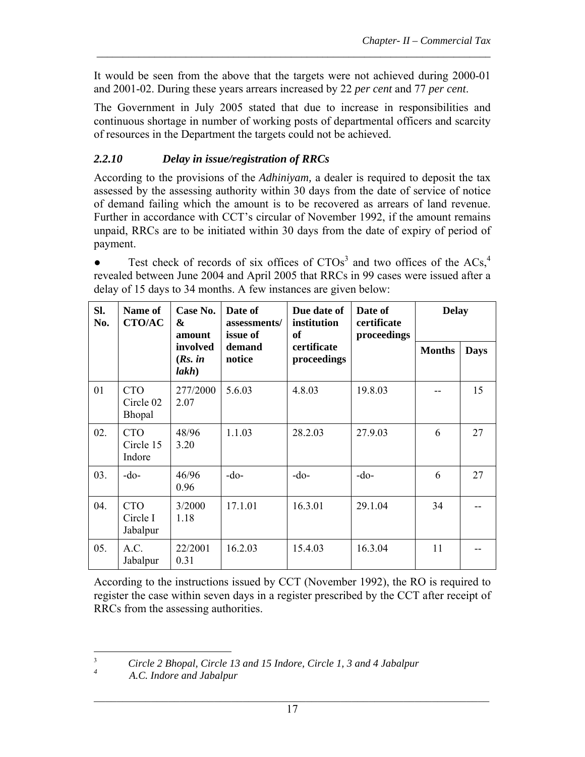It would be seen from the above that the targets were not achieved during 2000-01 and 2001-02. During these years arrears increased by 22 *per cent* and 77 *per cent*.

*\_\_\_\_\_\_\_\_\_\_\_\_\_\_\_\_\_\_\_\_\_\_\_\_\_\_\_\_\_\_\_\_\_\_\_\_\_\_\_\_\_\_\_\_\_\_\_\_\_\_\_\_\_\_\_\_\_\_\_\_\_\_\_\_\_\_\_\_\_\_\_\_\_\_\_*

The Government in July 2005 stated that due to increase in responsibilities and continuous shortage in number of working posts of departmental officers and scarcity of resources in the Department the targets could not be achieved.

## *2.2.10 Delay in issue/registration of RRCs*

According to the provisions of the *Adhiniyam,* a dealer is required to deposit the tax assessed by the assessing authority within 30 days from the date of service of notice of demand failing which the amount is to be recovered as arrears of land revenue. Further in accordance with CCT's circular of November 1992, if the amount remains unpaid, RRCs are to be initiated within 30 days from the date of expiry of period of payment.

• Test check of records of six offices of  $CTOs<sup>3</sup>$  and two offices of the ACs,<sup>4</sup> revealed between June 2004 and April 2005 that RRCs in 99 cases were issued after a delay of 15 days to 34 months. A few instances are given below:

| Sl.<br>No. | Name of<br><b>CTO/AC</b>           | Case No.<br>$\boldsymbol{\alpha}$<br>amount | Date of<br>assessments/<br>issue of | Due date of<br>institution<br>of | Date of<br>certificate<br>proceedings | <b>Delay</b>  |             |
|------------|------------------------------------|---------------------------------------------|-------------------------------------|----------------------------------|---------------------------------------|---------------|-------------|
|            |                                    | involved<br>(Rs. in<br>lakh)                | demand<br>notice                    | certificate<br>proceedings       |                                       | <b>Months</b> | <b>Days</b> |
| 01         | <b>CTO</b><br>Circle 02<br>Bhopal  | 277/2000<br>2.07                            | 5.6.03                              | 4.8.03                           | 19.8.03                               |               | 15          |
| 02.        | <b>CTO</b><br>Circle 15<br>Indore  | 48/96<br>3.20                               | 1.1.03                              | 28.2.03                          | 27.9.03                               | 6             | 27          |
| 03.        | -do-                               | 46/96<br>0.96                               | $-do-$                              | $-do-$                           | $-do-$                                | 6             | 27          |
| 04.        | <b>CTO</b><br>Circle I<br>Jabalpur | 3/2000<br>1.18                              | 17.1.01                             | 16.3.01                          | 29.1.04                               | 34            |             |
| 05.        | A.C.<br>Jabalpur                   | 22/2001<br>0.31                             | 16.2.03                             | 15.4.03                          | 16.3.04                               | 11            |             |

According to the instructions issued by CCT (November 1992), the RO is required to register the case within seven days in a register prescribed by the CCT after receipt of RRCs from the assessing authorities.

 *A.C. Indore and Jabalpur*

 $\frac{1}{3}$  *Circle 2 Bhopal, Circle 13 and 15 Indore, Circle 1, 3 and 4 Jabalpur 4*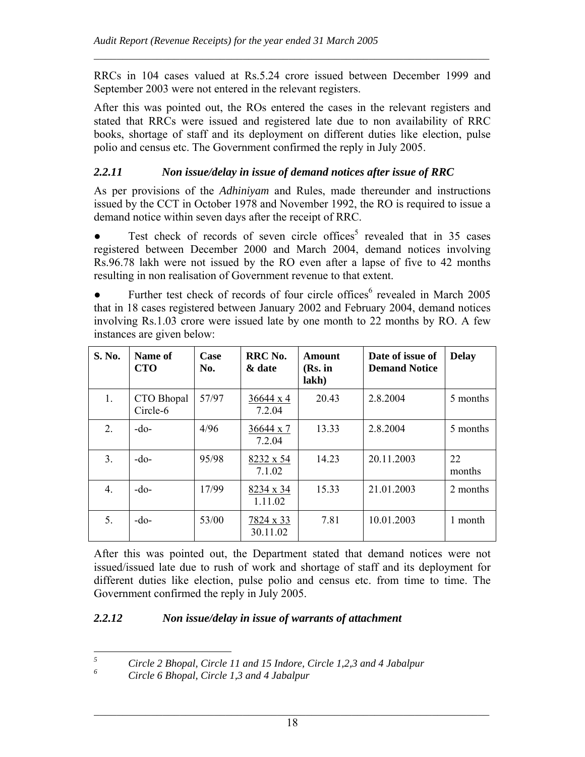RRCs in 104 cases valued at Rs.5.24 crore issued between December 1999 and September 2003 were not entered in the relevant registers.

 $\mathcal{L}_\mathcal{L} = \mathcal{L}_\mathcal{L} = \mathcal{L}_\mathcal{L} = \mathcal{L}_\mathcal{L} = \mathcal{L}_\mathcal{L} = \mathcal{L}_\mathcal{L} = \mathcal{L}_\mathcal{L} = \mathcal{L}_\mathcal{L} = \mathcal{L}_\mathcal{L} = \mathcal{L}_\mathcal{L} = \mathcal{L}_\mathcal{L} = \mathcal{L}_\mathcal{L} = \mathcal{L}_\mathcal{L} = \mathcal{L}_\mathcal{L} = \mathcal{L}_\mathcal{L} = \mathcal{L}_\mathcal{L} = \mathcal{L}_\mathcal{L}$ 

After this was pointed out, the ROs entered the cases in the relevant registers and stated that RRCs were issued and registered late due to non availability of RRC books, shortage of staff and its deployment on different duties like election, pulse polio and census etc. The Government confirmed the reply in July 2005.

#### *2.2.11 Non issue/delay in issue of demand notices after issue of RRC*

As per provisions of the *Adhiniyam* and Rules, made thereunder and instructions issued by the CCT in October 1978 and November 1992, the RO is required to issue a demand notice within seven days after the receipt of RRC.

• Test check of records of seven circle offices<sup>5</sup> revealed that in 35 cases registered between December 2000 and March 2004, demand notices involving Rs.96.78 lakh were not issued by the RO even after a lapse of five to 42 months resulting in non realisation of Government revenue to that extent.

• Further test check of records of four circle offices<sup>6</sup> revealed in March 2005 that in 18 cases registered between January 2002 and February 2004, demand notices involving Rs.1.03 crore were issued late by one month to 22 months by RO. A few instances are given below:

| S. No.           | Name of<br><b>CTO</b>  | Case<br>No. | RRC No.<br>& date           | Amount<br>$(Rs.$ in<br>lakh) | Date of issue of<br><b>Demand Notice</b> | <b>Delay</b> |
|------------------|------------------------|-------------|-----------------------------|------------------------------|------------------------------------------|--------------|
| 1.               | CTO Bhopal<br>Circle-6 | 57/97       | 36644 x 4<br>7.2.04         | 20.43                        | 2.8.2004                                 | 5 months     |
| 2.               | $-do-$                 | 4/96        | 36644 x 7<br>7.2.04         | 13.33                        | 2.8.2004                                 | 5 months     |
| 3 <sub>1</sub>   | $-do-$                 | 95/98       | 8232 x 54<br>7.1.02         | 14.23                        | 20.11.2003                               | 22<br>months |
| $\overline{4}$ . | $-do-$                 | 17/99       | $8234 \times 34$<br>1.11.02 | 15.33                        | 21.01.2003                               | 2 months     |
| 5.               | $-do-$                 | 53/00       | 7824 x 33<br>30.11.02       | 7.81                         | 10.01.2003                               | 1 month      |

After this was pointed out, the Department stated that demand notices were not issued/issued late due to rush of work and shortage of staff and its deployment for different duties like election, pulse polio and census etc. from time to time. The Government confirmed the reply in July 2005.

#### *2.2.12 Non issue/delay in issue of warrants of attachment*

 *5 Circle 2 Bhopal, Circle 11 and 15 Indore, Circle 1,2,3 and 4 Jabalpur 6*

*Circle 6 Bhopal, Circle 1,3 and 4 Jabalpur*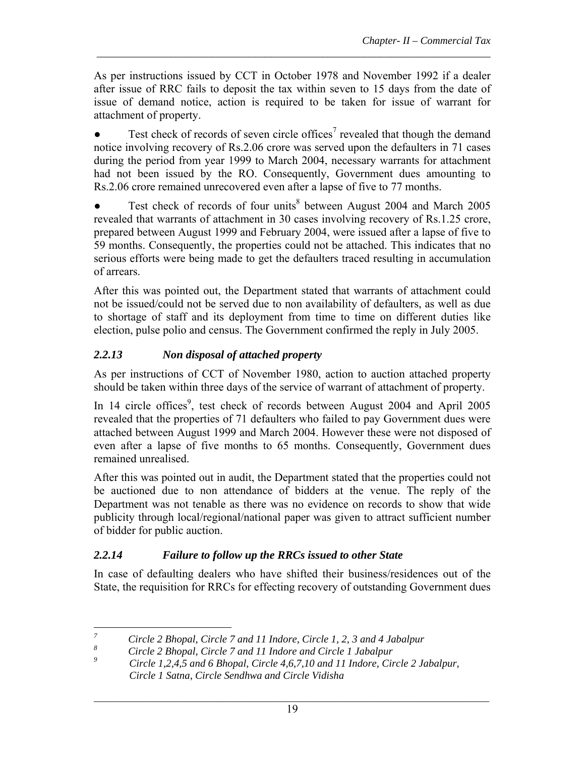As per instructions issued by CCT in October 1978 and November 1992 if a dealer after issue of RRC fails to deposit the tax within seven to 15 days from the date of issue of demand notice, action is required to be taken for issue of warrant for attachment of property.

*\_\_\_\_\_\_\_\_\_\_\_\_\_\_\_\_\_\_\_\_\_\_\_\_\_\_\_\_\_\_\_\_\_\_\_\_\_\_\_\_\_\_\_\_\_\_\_\_\_\_\_\_\_\_\_\_\_\_\_\_\_\_\_\_\_\_\_\_\_\_\_\_\_\_\_*

 $\bullet$  Test check of records of seven circle offices<sup>7</sup> revealed that though the demand notice involving recovery of Rs.2.06 crore was served upon the defaulters in 71 cases during the period from year 1999 to March 2004, necessary warrants for attachment had not been issued by the RO. Consequently, Government dues amounting to Rs.2.06 crore remained unrecovered even after a lapse of five to 77 months.

• Test check of records of four units<sup>8</sup> between August 2004 and March 2005 revealed that warrants of attachment in 30 cases involving recovery of Rs.1.25 crore, prepared between August 1999 and February 2004, were issued after a lapse of five to 59 months. Consequently, the properties could not be attached. This indicates that no serious efforts were being made to get the defaulters traced resulting in accumulation of arrears.

After this was pointed out, the Department stated that warrants of attachment could not be issued/could not be served due to non availability of defaulters, as well as due to shortage of staff and its deployment from time to time on different duties like election, pulse polio and census. The Government confirmed the reply in July 2005.

## *2.2.13 Non disposal of attached property*

As per instructions of CCT of November 1980, action to auction attached property should be taken within three days of the service of warrant of attachment of property.

In 14 circle offices<sup>9</sup>, test check of records between August 2004 and April 2005 revealed that the properties of 71 defaulters who failed to pay Government dues were attached between August 1999 and March 2004. However these were not disposed of even after a lapse of five months to 65 months. Consequently, Government dues remained unrealised.

After this was pointed out in audit, the Department stated that the properties could not be auctioned due to non attendance of bidders at the venue. The reply of the Department was not tenable as there was no evidence on records to show that wide publicity through local/regional/national paper was given to attract sufficient number of bidder for public auction.

# *2.2.14 Failure to follow up the RRCs issued to other State*

In case of defaulting dealers who have shifted their business/residences out of the State, the requisition for RRCs for effecting recovery of outstanding Government dues

 *7 Circle 2 Bhopal, Circle 7 and 11 Indore, Circle 1, 2, 3 and 4 Jabalpur*

*<sup>8</sup> Circle 2 Bhopal, Circle 7 and 11 Indore and Circle 1 Jabalpur*

*<sup>9</sup> Circle 1,2,4,5 and 6 Bhopal, Circle 4,6,7,10 and 11 Indore, Circle 2 Jabalpur, Circle 1 Satna, Circle Sendhwa and Circle Vidisha*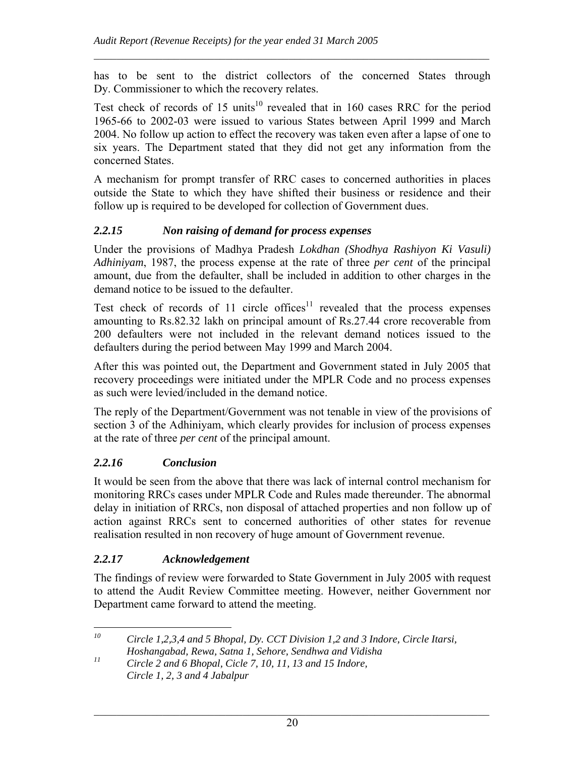has to be sent to the district collectors of the concerned States through Dy. Commissioner to which the recovery relates.

 $\mathcal{L}_\mathcal{L} = \mathcal{L}_\mathcal{L} = \mathcal{L}_\mathcal{L} = \mathcal{L}_\mathcal{L} = \mathcal{L}_\mathcal{L} = \mathcal{L}_\mathcal{L} = \mathcal{L}_\mathcal{L} = \mathcal{L}_\mathcal{L} = \mathcal{L}_\mathcal{L} = \mathcal{L}_\mathcal{L} = \mathcal{L}_\mathcal{L} = \mathcal{L}_\mathcal{L} = \mathcal{L}_\mathcal{L} = \mathcal{L}_\mathcal{L} = \mathcal{L}_\mathcal{L} = \mathcal{L}_\mathcal{L} = \mathcal{L}_\mathcal{L}$ 

Test check of records of 15 units<sup>10</sup> revealed that in 160 cases RRC for the period 1965-66 to 2002-03 were issued to various States between April 1999 and March 2004. No follow up action to effect the recovery was taken even after a lapse of one to six years. The Department stated that they did not get any information from the concerned States.

A mechanism for prompt transfer of RRC cases to concerned authorities in places outside the State to which they have shifted their business or residence and their follow up is required to be developed for collection of Government dues.

#### *2.2.15 Non raising of demand for process expenses*

Under the provisions of Madhya Pradesh *Lokdhan (Shodhya Rashiyon Ki Vasuli) Adhiniyam*, 1987, the process expense at the rate of three *per cent* of the principal amount, due from the defaulter, shall be included in addition to other charges in the demand notice to be issued to the defaulter.

Test check of records of  $11$  circle offices<sup>11</sup> revealed that the process expenses amounting to Rs.82.32 lakh on principal amount of Rs.27.44 crore recoverable from 200 defaulters were not included in the relevant demand notices issued to the defaulters during the period between May 1999 and March 2004.

After this was pointed out, the Department and Government stated in July 2005 that recovery proceedings were initiated under the MPLR Code and no process expenses as such were levied/included in the demand notice.

The reply of the Department/Government was not tenable in view of the provisions of section 3 of the Adhiniyam, which clearly provides for inclusion of process expenses at the rate of three *per cent* of the principal amount.

## *2.2.16 Conclusion*

It would be seen from the above that there was lack of internal control mechanism for monitoring RRCs cases under MPLR Code and Rules made thereunder. The abnormal delay in initiation of RRCs, non disposal of attached properties and non follow up of action against RRCs sent to concerned authorities of other states for revenue realisation resulted in non recovery of huge amount of Government revenue.

#### *2.2.17 Acknowledgement*

The findings of review were forwarded to State Government in July 2005 with request to attend the Audit Review Committee meeting. However, neither Government nor Department came forward to attend the meeting.

 $10\,$ *10 Circle 1,2,3,4 and 5 Bhopal, Dy. CCT Division 1,2 and 3 Indore, Circle Itarsi, Hoshangabad, Rewa, Satna 1, Sehore, Sendhwa and Vidisha*

*<sup>11</sup> Circle 2 and 6 Bhopal, Cicle 7, 10, 11, 13 and 15 Indore, Circle 1, 2, 3 and 4 Jabalpur*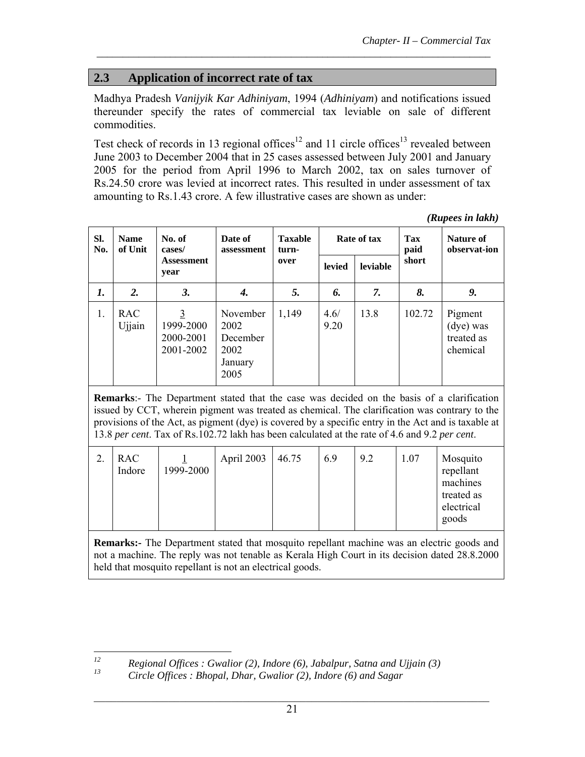## **2.3 Application of incorrect rate of tax**

Madhya Pradesh *Vanijyik Kar Adhiniyam*, 1994 (*Adhiniyam*) and notifications issued thereunder specify the rates of commercial tax leviable on sale of different commodities.

*\_\_\_\_\_\_\_\_\_\_\_\_\_\_\_\_\_\_\_\_\_\_\_\_\_\_\_\_\_\_\_\_\_\_\_\_\_\_\_\_\_\_\_\_\_\_\_\_\_\_\_\_\_\_\_\_\_\_\_\_\_\_\_\_\_\_\_\_\_\_\_\_\_\_\_*

Test check of records in 13 regional offices<sup>12</sup> and 11 circle offices<sup>13</sup> revealed between June 2003 to December 2004 that in 25 cases assessed between July 2001 and January 2005 for the period from April 1996 to March 2002, tax on sales turnover of Rs.24.50 crore was levied at incorrect rates. This resulted in under assessment of tax amounting to Rs.1.43 crore. A few illustrative cases are shown as under:

*(Rupees in lakh)*

| SI.<br>No. | <b>Name</b><br>of Unit | No. of<br>cases/                         | Date of<br>assessment                                   | <b>Taxable</b><br>turn- |               | Rate of tax | <b>Tax</b><br>paid | Nature of<br>observat-ion                      |
|------------|------------------------|------------------------------------------|---------------------------------------------------------|-------------------------|---------------|-------------|--------------------|------------------------------------------------|
|            |                        | <b>Assessment</b><br>year                |                                                         | over                    | <b>levied</b> | leviable    | short              |                                                |
| 1.         | 2.                     | 3.                                       | 4.                                                      | 5.                      | 6.            | 7.          | 8.                 | 9.                                             |
| 1.         | <b>RAC</b><br>Ujjain   | 3<br>1999-2000<br>2000-2001<br>2001-2002 | November<br>2002<br>December<br>2002<br>January<br>2005 | 1,149                   | 4.6/<br>9.20  | 13.8        | 102.72             | Pigment<br>(dye) was<br>treated as<br>chemical |

**Remarks**:- The Department stated that the case was decided on the basis of a clarification issued by CCT, wherein pigment was treated as chemical. The clarification was contrary to the provisions of the Act, as pigment (dye) is covered by a specific entry in the Act and is taxable at 13.8 *per cent*. Tax of Rs.102.72 lakh has been calculated at the rate of 4.6 and 9.2 *per cent*.

|  | <b>RAC</b><br>Indore | 1999-2000 | April 2003 | 46.75 | 6.9 | 9.2 | 1.07 | Mosquito<br>repellant<br>machines<br>treated as<br>electrical<br>goods |
|--|----------------------|-----------|------------|-------|-----|-----|------|------------------------------------------------------------------------|
|--|----------------------|-----------|------------|-------|-----|-----|------|------------------------------------------------------------------------|

**Remarks:-** The Department stated that mosquito repellant machine was an electric goods and not a machine. The reply was not tenable as Kerala High Court in its decision dated 28.8.2000 held that mosquito repellant is not an electrical goods.

 $12$ *12* Regional Offices : Gwalior (2), Indore (6), Jabalpur, Satna and Ujjain (3)  $^{13}$  Circle Offices : Plenal Plenc Centium (3) Indone (6) and Sacrossi

*<sup>13</sup> Circle Offices : Bhopal, Dhar, Gwalior (2), Indore (6) and Sagar*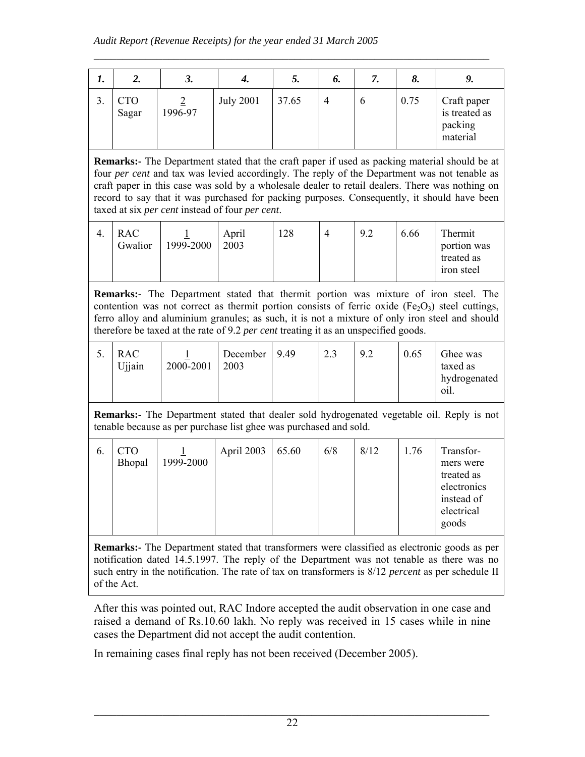| ı. | ۷.                  | J.      | 4.               | J.    | o. |   | о.   |                                                     |
|----|---------------------|---------|------------------|-------|----|---|------|-----------------------------------------------------|
|    | <b>CTO</b><br>Sagar | 1996-97 | <b>July 2001</b> | 37.65 | 4  | O | 0.75 | Craft paper<br>is treated as<br>packing<br>material |

 $\mathcal{L}_\mathcal{L} = \mathcal{L}_\mathcal{L} = \mathcal{L}_\mathcal{L} = \mathcal{L}_\mathcal{L} = \mathcal{L}_\mathcal{L} = \mathcal{L}_\mathcal{L} = \mathcal{L}_\mathcal{L} = \mathcal{L}_\mathcal{L} = \mathcal{L}_\mathcal{L} = \mathcal{L}_\mathcal{L} = \mathcal{L}_\mathcal{L} = \mathcal{L}_\mathcal{L} = \mathcal{L}_\mathcal{L} = \mathcal{L}_\mathcal{L} = \mathcal{L}_\mathcal{L} = \mathcal{L}_\mathcal{L} = \mathcal{L}_\mathcal{L}$ 

**Remarks:-** The Department stated that the craft paper if used as packing material should be at four *per cent* and tax was levied accordingly. The reply of the Department was not tenable as craft paper in this case was sold by a wholesale dealer to retail dealers. There was nothing on record to say that it was purchased for packing purposes. Consequently, it should have been taxed at six *per cent* instead of four *per cent*.

|  | RAC<br>Gwalior | 1999-2000 | April<br>2003 | 28 |  | 9.2 | 6.66 | Thermit<br>portion was<br>treated as<br><i><u>ron</u></i> steel |
|--|----------------|-----------|---------------|----|--|-----|------|-----------------------------------------------------------------|
|--|----------------|-----------|---------------|----|--|-----|------|-----------------------------------------------------------------|

**Remarks:-** The Department stated that thermit portion was mixture of iron steel. The contention was not correct as thermit portion consists of ferric oxide (Fe<sub>2</sub>O<sub>3</sub>) steel cuttings, ferro alloy and aluminium granules; as such, it is not a mixture of only iron steel and should therefore be taxed at the rate of 9.2 *per cent* treating it as an unspecified goods.

| J. | RAC<br>Ujjain | 2000-2001 | December<br>2003 | 9.49 | 2.3 | 9.2 | 0.65 | Ghee was<br>taxed as<br>hydrogenated<br>- 01I. |
|----|---------------|-----------|------------------|------|-----|-----|------|------------------------------------------------|
|----|---------------|-----------|------------------|------|-----|-----|------|------------------------------------------------|

**Remarks:-** The Department stated that dealer sold hydrogenated vegetable oil. Reply is not tenable because as per purchase list ghee was purchased and sold.

| 6. | CTO    |           |            |       |     |      |      |                                                     |
|----|--------|-----------|------------|-------|-----|------|------|-----------------------------------------------------|
|    | Bhopal | 1999-2000 | April 2003 | 65.60 | 6/8 | 8/12 | 1.76 | Transfor-<br>mers were<br>treated as<br>electronics |
|    |        |           |            |       |     |      |      | instead of<br>electrical<br>goods                   |

**Remarks:-** The Department stated that transformers were classified as electronic goods as per notification dated 14.5.1997. The reply of the Department was not tenable as there was no such entry in the notification. The rate of tax on transformers is 8/12 *percent* as per schedule II of the Act.

After this was pointed out, RAC Indore accepted the audit observation in one case and raised a demand of Rs.10.60 lakh. No reply was received in 15 cases while in nine cases the Department did not accept the audit contention.

In remaining cases final reply has not been received (December 2005).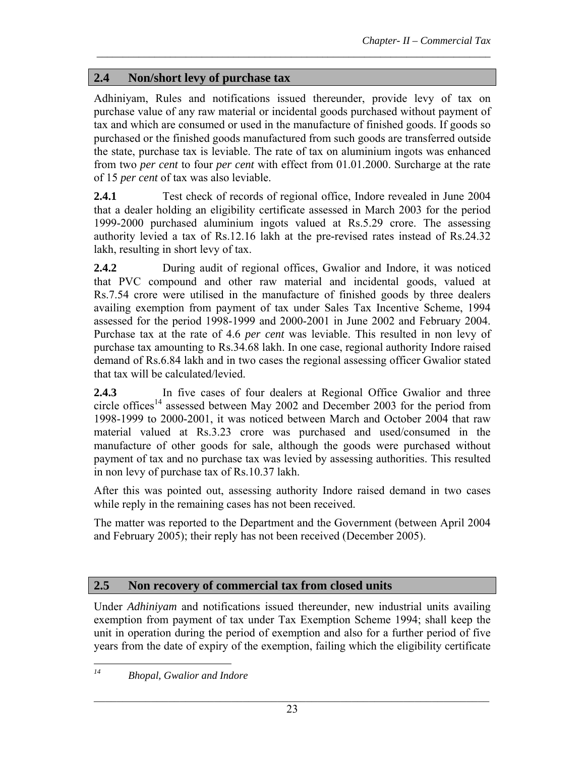## **2.4 Non/short levy of purchase tax**

Adhiniyam, Rules and notifications issued thereunder, provide levy of tax on purchase value of any raw material or incidental goods purchased without payment of tax and which are consumed or used in the manufacture of finished goods. If goods so purchased or the finished goods manufactured from such goods are transferred outside the state, purchase tax is leviable. The rate of tax on aluminium ingots was enhanced from two *per cent* to four *per cent* with effect from 01.01.2000. Surcharge at the rate of 15 *per cent* of tax was also leviable.

*\_\_\_\_\_\_\_\_\_\_\_\_\_\_\_\_\_\_\_\_\_\_\_\_\_\_\_\_\_\_\_\_\_\_\_\_\_\_\_\_\_\_\_\_\_\_\_\_\_\_\_\_\_\_\_\_\_\_\_\_\_\_\_\_\_\_\_\_\_\_\_\_\_\_\_*

**2.4.1** Test check of records of regional office, Indore revealed in June 2004 that a dealer holding an eligibility certificate assessed in March 2003 for the period 1999-2000 purchased aluminium ingots valued at Rs.5.29 crore. The assessing authority levied a tax of Rs.12.16 lakh at the pre-revised rates instead of Rs.24.32 lakh, resulting in short levy of tax.

2.4.2 **During audit of regional offices, Gwalior and Indore, it was noticed** that PVC compound and other raw material and incidental goods, valued at Rs.7.54 crore were utilised in the manufacture of finished goods by three dealers availing exemption from payment of tax under Sales Tax Incentive Scheme, 1994 assessed for the period 1998-1999 and 2000-2001 in June 2002 and February 2004. Purchase tax at the rate of 4.6 *per cent* was leviable. This resulted in non levy of purchase tax amounting to Rs.34.68 lakh. In one case, regional authority Indore raised demand of Rs.6.84 lakh and in two cases the regional assessing officer Gwalior stated that tax will be calculated/levied.

**2.4.3** In five cases of four dealers at Regional Office Gwalior and three circle offices<sup>14</sup> assessed between May 2002 and December 2003 for the period from 1998-1999 to 2000-2001, it was noticed between March and October 2004 that raw material valued at Rs.3.23 crore was purchased and used/consumed in the manufacture of other goods for sale, although the goods were purchased without payment of tax and no purchase tax was levied by assessing authorities. This resulted in non levy of purchase tax of Rs.10.37 lakh.

After this was pointed out, assessing authority Indore raised demand in two cases while reply in the remaining cases has not been received.

The matter was reported to the Department and the Government (between April 2004 and February 2005); their reply has not been received (December 2005).

## **2.5 Non recovery of commercial tax from closed units**

Under *Adhiniyam* and notifications issued thereunder, new industrial units availing exemption from payment of tax under Tax Exemption Scheme 1994; shall keep the unit in operation during the period of exemption and also for a further period of five years from the date of expiry of the exemption, failing which the eligibility certificate

 $14$ *14 Bhopal, Gwalior and Indore*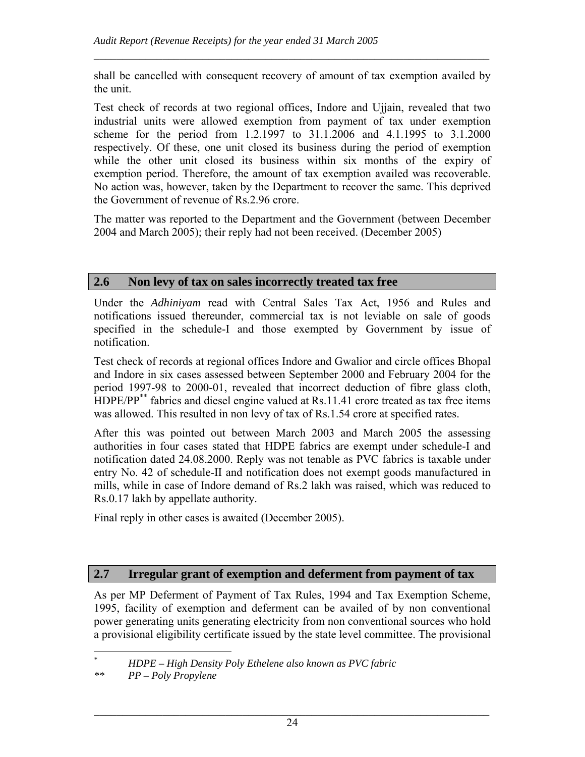shall be cancelled with consequent recovery of amount of tax exemption availed by the unit.

 $\mathcal{L}_\mathcal{L} = \mathcal{L}_\mathcal{L} = \mathcal{L}_\mathcal{L} = \mathcal{L}_\mathcal{L} = \mathcal{L}_\mathcal{L} = \mathcal{L}_\mathcal{L} = \mathcal{L}_\mathcal{L} = \mathcal{L}_\mathcal{L} = \mathcal{L}_\mathcal{L} = \mathcal{L}_\mathcal{L} = \mathcal{L}_\mathcal{L} = \mathcal{L}_\mathcal{L} = \mathcal{L}_\mathcal{L} = \mathcal{L}_\mathcal{L} = \mathcal{L}_\mathcal{L} = \mathcal{L}_\mathcal{L} = \mathcal{L}_\mathcal{L}$ 

Test check of records at two regional offices, Indore and Ujjain, revealed that two industrial units were allowed exemption from payment of tax under exemption scheme for the period from 1.2.1997 to 31.1.2006 and 4.1.1995 to 3.1.2000 respectively. Of these, one unit closed its business during the period of exemption while the other unit closed its business within six months of the expiry of exemption period. Therefore, the amount of tax exemption availed was recoverable. No action was, however, taken by the Department to recover the same. This deprived the Government of revenue of Rs.2.96 crore.

The matter was reported to the Department and the Government (between December 2004 and March 2005); their reply had not been received. (December 2005)

## **2.6 Non levy of tax on sales incorrectly treated tax free**

Under the *Adhiniyam* read with Central Sales Tax Act, 1956 and Rules and notifications issued thereunder, commercial tax is not leviable on sale of goods specified in the schedule-I and those exempted by Government by issue of notification.

Test check of records at regional offices Indore and Gwalior and circle offices Bhopal and Indore in six cases assessed between September 2000 and February 2004 for the period 1997-98 to 2000-01, revealed that incorrect deduction of fibre glass cloth, HDPE/PP<sup>\*\*</sup> fabrics and diesel engine valued at Rs.11.41 crore treated as tax free items was allowed. This resulted in non levy of tax of Rs.1.54 crore at specified rates.

After this was pointed out between March 2003 and March 2005 the assessing authorities in four cases stated that HDPE fabrics are exempt under schedule-I and notification dated 24.08.2000. Reply was not tenable as PVC fabrics is taxable under entry No. 42 of schedule-II and notification does not exempt goods manufactured in mills, while in case of Indore demand of Rs.2 lakh was raised, which was reduced to Rs.0.17 lakh by appellate authority.

Final reply in other cases is awaited (December 2005).

## **2.7 Irregular grant of exemption and deferment from payment of tax**

As per MP Deferment of Payment of Tax Rules, 1994 and Tax Exemption Scheme, 1995, facility of exemption and deferment can be availed of by non conventional power generating units generating electricity from non conventional sources who hold a provisional eligibility certificate issued by the state level committee. The provisional

 $\overline{a}$ *\* HDPE – High Density Poly Ethelene also known as PVC fabric \*\* PP – Poly Propylene*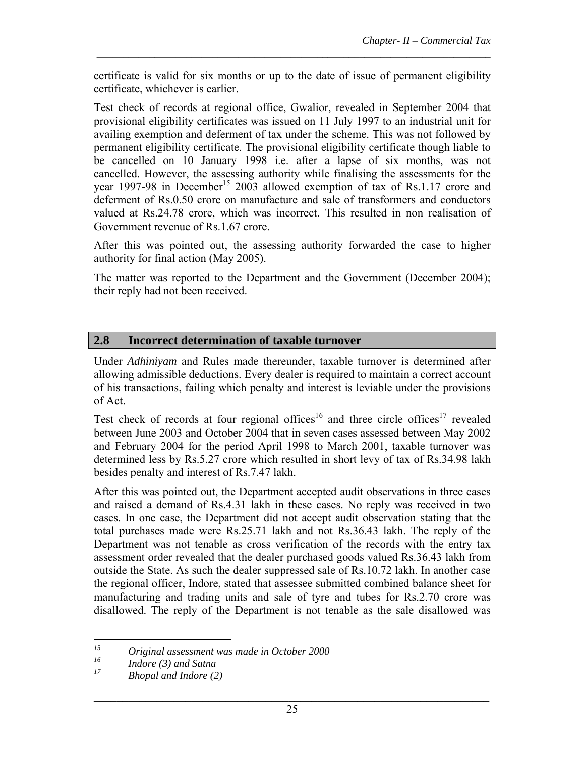certificate is valid for six months or up to the date of issue of permanent eligibility certificate, whichever is earlier.

*\_\_\_\_\_\_\_\_\_\_\_\_\_\_\_\_\_\_\_\_\_\_\_\_\_\_\_\_\_\_\_\_\_\_\_\_\_\_\_\_\_\_\_\_\_\_\_\_\_\_\_\_\_\_\_\_\_\_\_\_\_\_\_\_\_\_\_\_\_\_\_\_\_\_\_*

Test check of records at regional office, Gwalior, revealed in September 2004 that provisional eligibility certificates was issued on 11 July 1997 to an industrial unit for availing exemption and deferment of tax under the scheme. This was not followed by permanent eligibility certificate. The provisional eligibility certificate though liable to be cancelled on 10 January 1998 i.e. after a lapse of six months, was not cancelled. However, the assessing authority while finalising the assessments for the year 1997-98 in December<sup>15</sup> 2003 allowed exemption of tax of Rs.1.17 crore and deferment of Rs.0.50 crore on manufacture and sale of transformers and conductors valued at Rs.24.78 crore, which was incorrect. This resulted in non realisation of Government revenue of Rs.1.67 crore.

After this was pointed out, the assessing authority forwarded the case to higher authority for final action (May 2005).

The matter was reported to the Department and the Government (December 2004); their reply had not been received.

## **2.8 Incorrect determination of taxable turnover**

Under *Adhiniyam* and Rules made thereunder, taxable turnover is determined after allowing admissible deductions. Every dealer is required to maintain a correct account of his transactions, failing which penalty and interest is leviable under the provisions of Act.

Test check of records at four regional offices<sup>16</sup> and three circle offices<sup>17</sup> revealed between June 2003 and October 2004 that in seven cases assessed between May 2002 and February 2004 for the period April 1998 to March 2001, taxable turnover was determined less by Rs.5.27 crore which resulted in short levy of tax of Rs.34.98 lakh besides penalty and interest of Rs.7.47 lakh.

After this was pointed out, the Department accepted audit observations in three cases and raised a demand of Rs.4.31 lakh in these cases. No reply was received in two cases. In one case, the Department did not accept audit observation stating that the total purchases made were Rs.25.71 lakh and not Rs.36.43 lakh. The reply of the Department was not tenable as cross verification of the records with the entry tax assessment order revealed that the dealer purchased goods valued Rs.36.43 lakh from outside the State. As such the dealer suppressed sale of Rs.10.72 lakh. In another case the regional officer, Indore, stated that assessee submitted combined balance sheet for manufacturing and trading units and sale of tyre and tubes for Rs.2.70 crore was disallowed. The reply of the Department is not tenable as the sale disallowed was

 $15$ *15 Original assessment was made in October 2000*

*<sup>16</sup> Indore (3) and Satna* 

*<sup>17</sup> Bhopal and Indore (2)*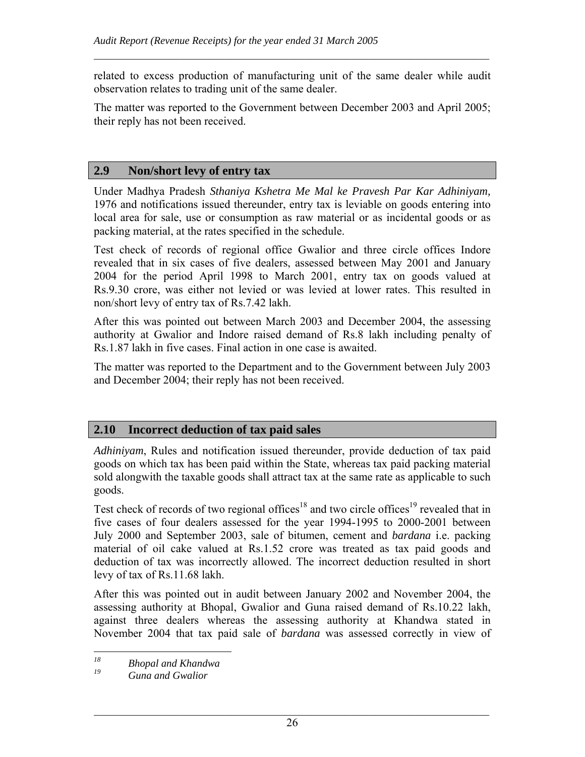related to excess production of manufacturing unit of the same dealer while audit observation relates to trading unit of the same dealer.

 $\mathcal{L}_\mathcal{L} = \mathcal{L}_\mathcal{L} = \mathcal{L}_\mathcal{L} = \mathcal{L}_\mathcal{L} = \mathcal{L}_\mathcal{L} = \mathcal{L}_\mathcal{L} = \mathcal{L}_\mathcal{L} = \mathcal{L}_\mathcal{L} = \mathcal{L}_\mathcal{L} = \mathcal{L}_\mathcal{L} = \mathcal{L}_\mathcal{L} = \mathcal{L}_\mathcal{L} = \mathcal{L}_\mathcal{L} = \mathcal{L}_\mathcal{L} = \mathcal{L}_\mathcal{L} = \mathcal{L}_\mathcal{L} = \mathcal{L}_\mathcal{L}$ 

The matter was reported to the Government between December 2003 and April 2005; their reply has not been received.

#### **2.9 Non/short levy of entry tax**

Under Madhya Pradesh *Sthaniya Kshetra Me Mal ke Pravesh Par Kar Adhiniyam,* 1976 and notifications issued thereunder, entry tax is leviable on goods entering into local area for sale, use or consumption as raw material or as incidental goods or as packing material, at the rates specified in the schedule.

Test check of records of regional office Gwalior and three circle offices Indore revealed that in six cases of five dealers, assessed between May 2001 and January 2004 for the period April 1998 to March 2001, entry tax on goods valued at Rs.9.30 crore, was either not levied or was levied at lower rates. This resulted in non/short levy of entry tax of Rs.7.42 lakh.

After this was pointed out between March 2003 and December 2004, the assessing authority at Gwalior and Indore raised demand of Rs.8 lakh including penalty of Rs.1.87 lakh in five cases. Final action in one case is awaited.

The matter was reported to the Department and to the Government between July 2003 and December 2004; their reply has not been received.

## **2.10 Incorrect deduction of tax paid sales**

*Adhiniyam*, Rules and notification issued thereunder, provide deduction of tax paid goods on which tax has been paid within the State, whereas tax paid packing material sold alongwith the taxable goods shall attract tax at the same rate as applicable to such goods.

Test check of records of two regional offices<sup>18</sup> and two circle offices<sup>19</sup> revealed that in five cases of four dealers assessed for the year 1994-1995 to 2000-2001 between July 2000 and September 2003, sale of bitumen, cement and *bardana* i.e. packing material of oil cake valued at Rs.1.52 crore was treated as tax paid goods and deduction of tax was incorrectly allowed. The incorrect deduction resulted in short levy of tax of Rs.11.68 lakh.

After this was pointed out in audit between January 2002 and November 2004, the assessing authority at Bhopal, Gwalior and Guna raised demand of Rs.10.22 lakh, against three dealers whereas the assessing authority at Khandwa stated in November 2004 that tax paid sale of *bardana* was assessed correctly in view of

<sup>18</sup> *18 Bhopal and Khandwa*

*<sup>19</sup> Guna and Gwalior*